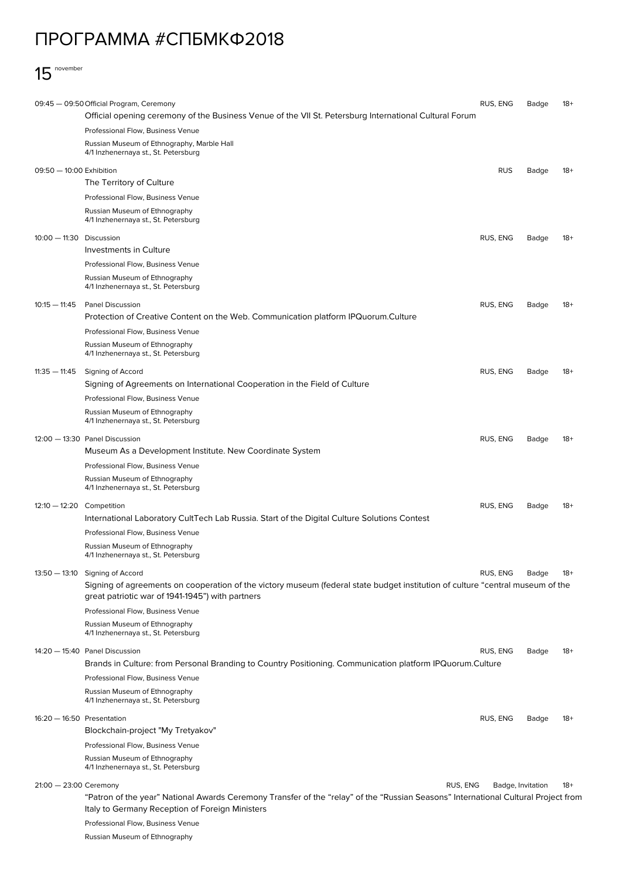## ПРОГРАММА #СПБМКФ2018



|                                                                    | 09:45 - 09:50 Official Program, Ceremony                                                                                                                                              | RUS, ENG   | Badge | $18+$ |  |  |
|--------------------------------------------------------------------|---------------------------------------------------------------------------------------------------------------------------------------------------------------------------------------|------------|-------|-------|--|--|
|                                                                    | Official opening ceremony of the Business Venue of the VII St. Petersburg International Cultural Forum                                                                                |            |       |       |  |  |
|                                                                    | Professional Flow, Business Venue                                                                                                                                                     |            |       |       |  |  |
|                                                                    | Russian Museum of Ethnography, Marble Hall<br>4/1 Inzhenernaya st., St. Petersburg                                                                                                    |            |       |       |  |  |
| 09:50 - 10:00 Exhibition                                           |                                                                                                                                                                                       | <b>RUS</b> | Badge | $18+$ |  |  |
|                                                                    | The Territory of Culture                                                                                                                                                              |            |       |       |  |  |
|                                                                    | Professional Flow, Business Venue                                                                                                                                                     |            |       |       |  |  |
|                                                                    | Russian Museum of Ethnography<br>4/1 Inzhenernaya st., St. Petersburg                                                                                                                 |            |       |       |  |  |
| 10:00 - 11:30 Discussion                                           | Investments in Culture                                                                                                                                                                | RUS, ENG   | Badge | $18+$ |  |  |
|                                                                    | Professional Flow, Business Venue                                                                                                                                                     |            |       |       |  |  |
|                                                                    | Russian Museum of Ethnography                                                                                                                                                         |            |       |       |  |  |
|                                                                    | 4/1 Inzhenernaya st., St. Petersburg                                                                                                                                                  |            |       |       |  |  |
| $10:15 - 11:45$                                                    | <b>Panel Discussion</b>                                                                                                                                                               | RUS, ENG   | Badge | $18+$ |  |  |
|                                                                    | Protection of Creative Content on the Web. Communication platform IPQuorum.Culture                                                                                                    |            |       |       |  |  |
|                                                                    | Professional Flow, Business Venue                                                                                                                                                     |            |       |       |  |  |
|                                                                    | Russian Museum of Ethnography<br>4/1 Inzhenernaya st., St. Petersburg                                                                                                                 |            |       |       |  |  |
| $11:35 - 11:45$                                                    | Signing of Accord                                                                                                                                                                     | RUS, ENG   | Badge | $18+$ |  |  |
|                                                                    | Signing of Agreements on International Cooperation in the Field of Culture                                                                                                            |            |       |       |  |  |
|                                                                    | Professional Flow, Business Venue                                                                                                                                                     |            |       |       |  |  |
|                                                                    | Russian Museum of Ethnography<br>4/1 Inzhenernaya st., St. Petersburg                                                                                                                 |            |       |       |  |  |
|                                                                    | 12:00 - 13:30 Panel Discussion                                                                                                                                                        | RUS, ENG   | Badge | $18+$ |  |  |
|                                                                    | Museum As a Development Institute. New Coordinate System                                                                                                                              |            |       |       |  |  |
|                                                                    | Professional Flow, Business Venue                                                                                                                                                     |            |       |       |  |  |
|                                                                    | Russian Museum of Ethnography<br>4/1 Inzhenernaya st., St. Petersburg                                                                                                                 |            |       |       |  |  |
| $12:10-12:20$ Competition                                          |                                                                                                                                                                                       | RUS, ENG   | Badge | $18+$ |  |  |
|                                                                    | International Laboratory CultTech Lab Russia. Start of the Digital Culture Solutions Contest                                                                                          |            |       |       |  |  |
|                                                                    | Professional Flow, Business Venue                                                                                                                                                     |            |       |       |  |  |
|                                                                    | Russian Museum of Ethnography                                                                                                                                                         |            |       |       |  |  |
|                                                                    | 4/1 Inzhenernaya st., St. Petersburg                                                                                                                                                  |            |       |       |  |  |
|                                                                    | 13:50 - 13:10 Signing of Accord                                                                                                                                                       | RUS, ENG   | Badge | $18+$ |  |  |
|                                                                    | Signing of agreements on cooperation of the victory museum (federal state budget institution of culture "central museum of the<br>great patriotic war of 1941-1945") with partners    |            |       |       |  |  |
|                                                                    | Professional Flow, Business Venue                                                                                                                                                     |            |       |       |  |  |
|                                                                    | Russian Museum of Ethnography<br>4/1 Inzhenernaya st., St. Petersburg                                                                                                                 |            |       |       |  |  |
|                                                                    | 14:20 - 15:40 Panel Discussion                                                                                                                                                        | RUS, ENG   | Badge | $18+$ |  |  |
|                                                                    | Brands in Culture: from Personal Branding to Country Positioning. Communication platform IPQuorum.Culture                                                                             |            |       |       |  |  |
|                                                                    | Professional Flow, Business Venue                                                                                                                                                     |            |       |       |  |  |
|                                                                    | Russian Museum of Ethnography<br>4/1 Inzhenernaya st., St. Petersburg                                                                                                                 |            |       |       |  |  |
| $16:20 - 16:50$ Presentation                                       |                                                                                                                                                                                       | RUS, ENG   | Badge | $18+$ |  |  |
|                                                                    | Blockchain-project "My Tretyakov"                                                                                                                                                     |            |       |       |  |  |
|                                                                    | Professional Flow, Business Venue                                                                                                                                                     |            |       |       |  |  |
|                                                                    | Russian Museum of Ethnography<br>4/1 Inzhenernaya st., St. Petersburg                                                                                                                 |            |       |       |  |  |
| $21:00 - 23:00$ Ceremony<br>RUS, ENG<br>Badge, Invitation<br>$18+$ |                                                                                                                                                                                       |            |       |       |  |  |
|                                                                    | "Patron of the year" National Awards Ceremony Transfer of the "relay" of the "Russian Seasons" International Cultural Project from<br>Italy to Germany Reception of Foreign Ministers |            |       |       |  |  |
|                                                                    | Professional Flow, Business Venue                                                                                                                                                     |            |       |       |  |  |
|                                                                    | Russian Museum of Ethnography                                                                                                                                                         |            |       |       |  |  |